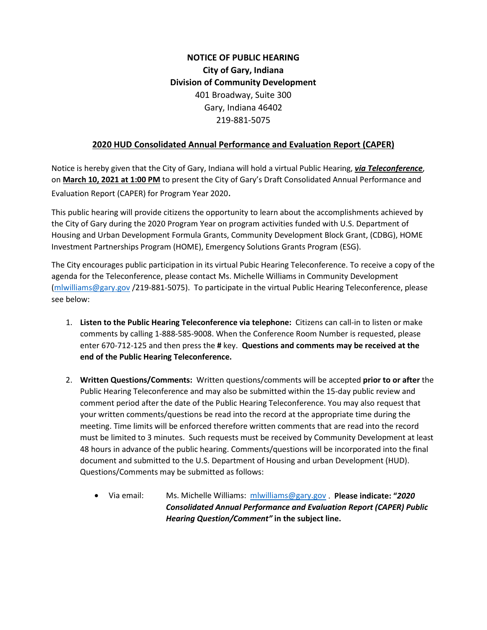## **NOTICE OF PUBLIC HEARING City of Gary, Indiana Division of Community Development** 401 Broadway, Suite 300 Gary, Indiana 46402 219-881-5075

## **2020 HUD Consolidated Annual Performance and Evaluation Report (CAPER)**

Notice is hereby given that the City of Gary, Indiana will hold a virtual Public Hearing, *via Teleconference*, on **March 10, 2021 at 1:00 PM** to present the City of Gary's Draft Consolidated Annual Performance and Evaluation Report (CAPER) for Program Year 2020.

This public hearing will provide citizens the opportunity to learn about the accomplishments achieved by the City of Gary during the 2020 Program Year on program activities funded with U.S. Department of Housing and Urban Development Formula Grants, Community Development Block Grant, (CDBG), HOME Investment Partnerships Program (HOME), Emergency Solutions Grants Program (ESG).

The City encourages public participation in its virtual Pubic Hearing Teleconference. To receive a copy of the agenda for the Teleconference, please contact Ms. Michelle Williams in Community Development [\(mlwilliams@gary.gov](mailto:mlwilliams@gary.gov) /219-881-5075). To participate in the virtual Public Hearing Teleconference, please see below:

- 1. **Listen to the Public Hearing Teleconference via telephone:** Citizens can call-in to listen or make comments by calling 1-888-585-9008. When the Conference Room Number is requested, please enter 670-712-125 and then press the **#** key. **Questions and comments may be received at the end of the Public Hearing Teleconference.**
- 2. **Written Questions/Comments:** Written questions/comments will be accepted **prior to or after** the Public Hearing Teleconference and may also be submitted within the 15-day public review and comment period after the date of the Public Hearing Teleconference. You may also request that your written comments/questions be read into the record at the appropriate time during the meeting. Time limits will be enforced therefore written comments that are read into the record must be limited to 3 minutes. Such requests must be received by Community Development at least 48 hours in advance of the public hearing. Comments/questions will be incorporated into the final document and submitted to the U.S. Department of Housing and urban Development (HUD). Questions/Comments may be submitted as follows:
	- Via email: Ms. Michelle Williams: [mlwilliams@gary.gov](mailto:mlwilliams@gary.gov) . **Please indicate: "***2020 Consolidated Annual Performance and Evaluation Report (CAPER) Public Hearing Question/Comment"* **in the subject line.**